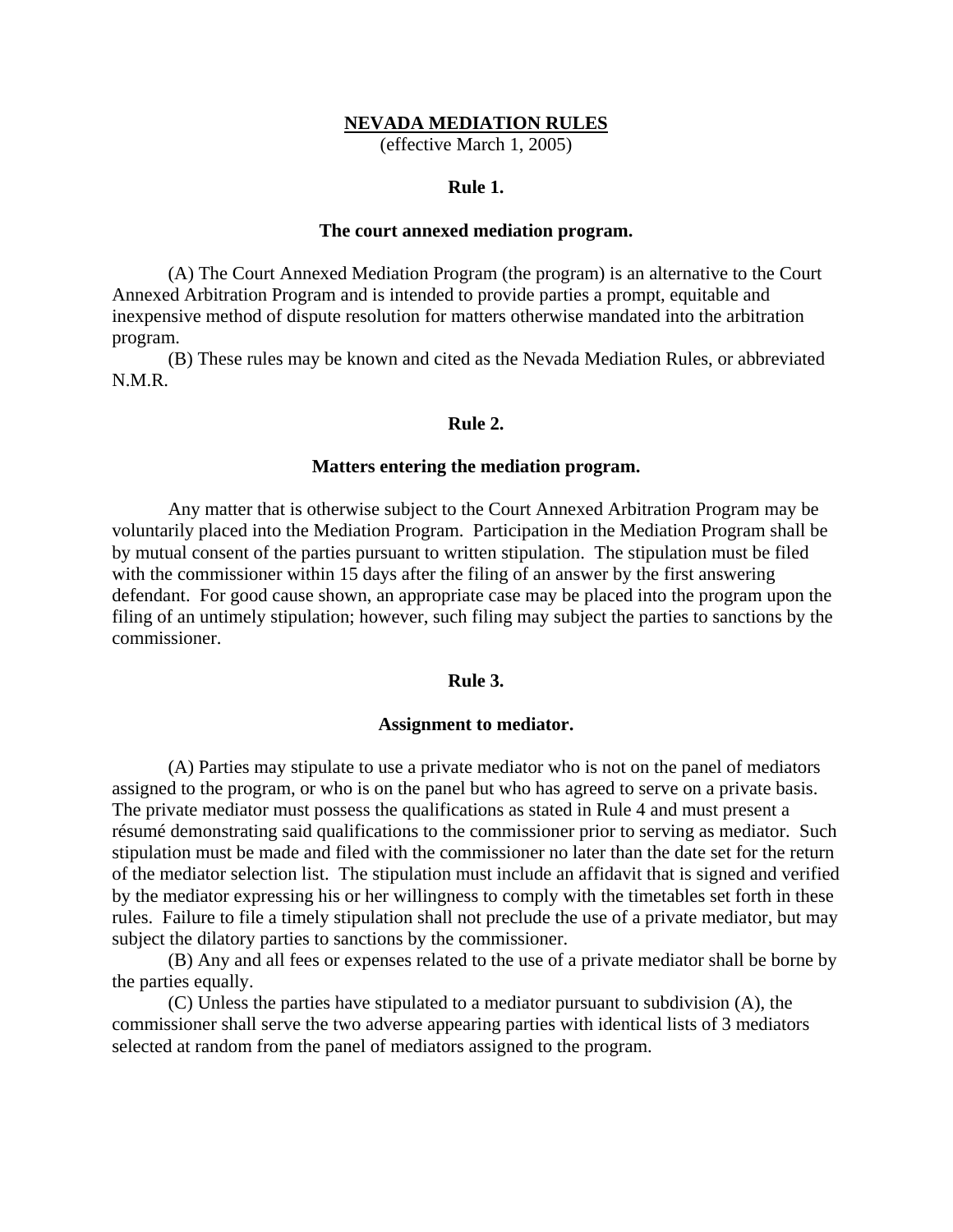## **NEVADA MEDIATION RULES**

(effective March 1, 2005)

## **Rule 1.**

## **The court annexed mediation program.**

(A) The Court Annexed Mediation Program (the program) is an alternative to the Court Annexed Arbitration Program and is intended to provide parties a prompt, equitable and inexpensive method of dispute resolution for matters otherwise mandated into the arbitration program.

(B) These rules may be known and cited as the Nevada Mediation Rules, or abbreviated N.M.R.

## **Rule 2.**

## **Matters entering the mediation program.**

 Any matter that is otherwise subject to the Court Annexed Arbitration Program may be voluntarily placed into the Mediation Program. Participation in the Mediation Program shall be by mutual consent of the parties pursuant to written stipulation. The stipulation must be filed with the commissioner within 15 days after the filing of an answer by the first answering defendant. For good cause shown, an appropriate case may be placed into the program upon the filing of an untimely stipulation; however, such filing may subject the parties to sanctions by the commissioner.

## **Rule 3.**

#### **Assignment to mediator.**

 (A) Parties may stipulate to use a private mediator who is not on the panel of mediators assigned to the program, or who is on the panel but who has agreed to serve on a private basis. The private mediator must possess the qualifications as stated in Rule 4 and must present a résumé demonstrating said qualifications to the commissioner prior to serving as mediator. Such stipulation must be made and filed with the commissioner no later than the date set for the return of the mediator selection list. The stipulation must include an affidavit that is signed and verified by the mediator expressing his or her willingness to comply with the timetables set forth in these rules. Failure to file a timely stipulation shall not preclude the use of a private mediator, but may subject the dilatory parties to sanctions by the commissioner.

 (B) Any and all fees or expenses related to the use of a private mediator shall be borne by the parties equally.

 (C) Unless the parties have stipulated to a mediator pursuant to subdivision (A), the commissioner shall serve the two adverse appearing parties with identical lists of 3 mediators selected at random from the panel of mediators assigned to the program.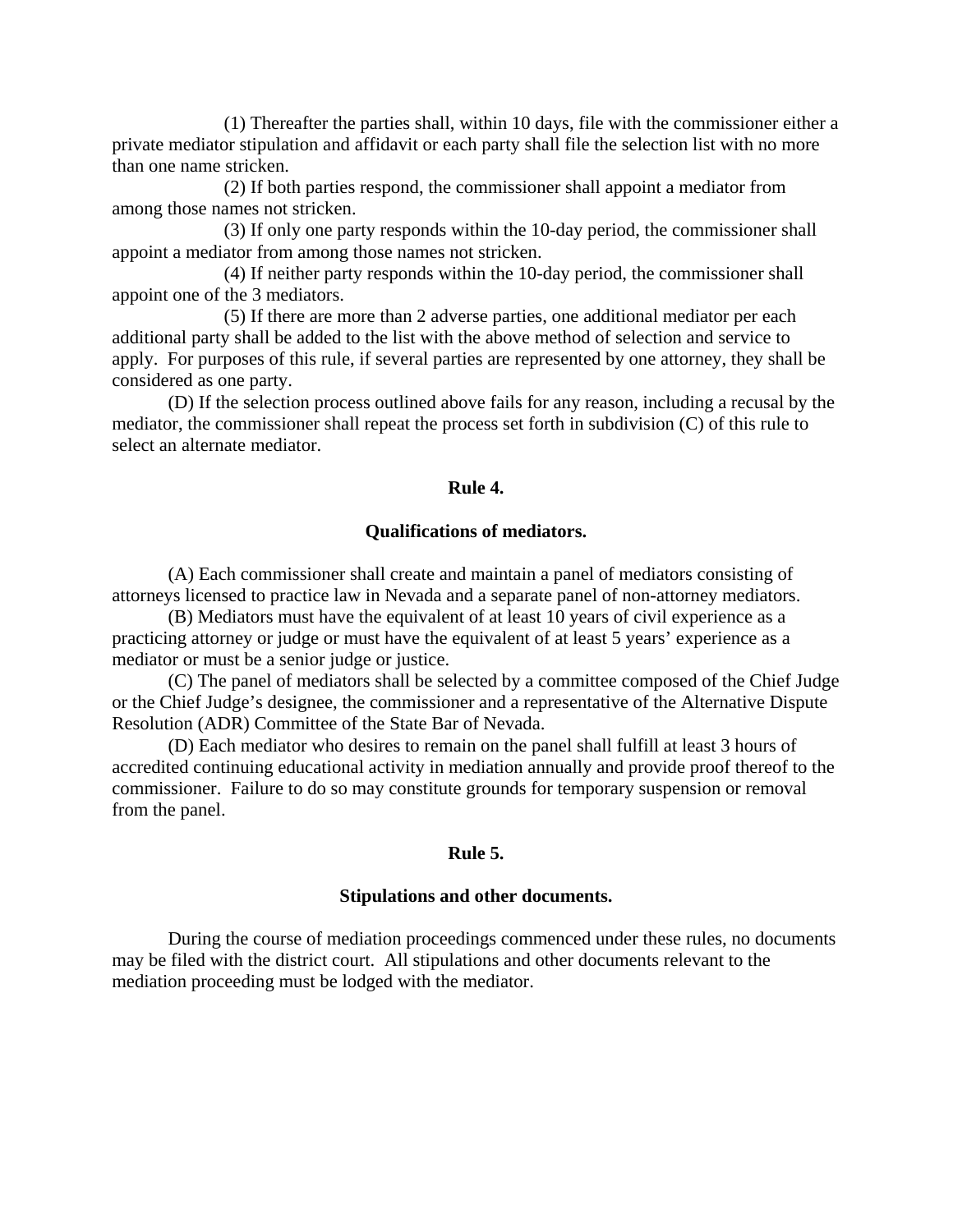(1) Thereafter the parties shall, within 10 days, file with the commissioner either a private mediator stipulation and affidavit or each party shall file the selection list with no more than one name stricken.

 (2) If both parties respond, the commissioner shall appoint a mediator from among those names not stricken.

 (3) If only one party responds within the 10-day period, the commissioner shall appoint a mediator from among those names not stricken.

 (4) If neither party responds within the 10-day period, the commissioner shall appoint one of the 3 mediators.

 (5) If there are more than 2 adverse parties, one additional mediator per each additional party shall be added to the list with the above method of selection and service to apply. For purposes of this rule, if several parties are represented by one attorney, they shall be considered as one party.

 (D) If the selection process outlined above fails for any reason, including a recusal by the mediator, the commissioner shall repeat the process set forth in subdivision (C) of this rule to select an alternate mediator.

# **Rule 4.**

# **Qualifications of mediators.**

 (A) Each commissioner shall create and maintain a panel of mediators consisting of attorneys licensed to practice law in Nevada and a separate panel of non-attorney mediators.

 (B) Mediators must have the equivalent of at least 10 years of civil experience as a practicing attorney or judge or must have the equivalent of at least 5 years' experience as a mediator or must be a senior judge or justice.

 (C) The panel of mediators shall be selected by a committee composed of the Chief Judge or the Chief Judge's designee, the commissioner and a representative of the Alternative Dispute Resolution (ADR) Committee of the State Bar of Nevada.

 (D) Each mediator who desires to remain on the panel shall fulfill at least 3 hours of accredited continuing educational activity in mediation annually and provide proof thereof to the commissioner. Failure to do so may constitute grounds for temporary suspension or removal from the panel.

#### **Rule 5.**

#### **Stipulations and other documents.**

 During the course of mediation proceedings commenced under these rules, no documents may be filed with the district court. All stipulations and other documents relevant to the mediation proceeding must be lodged with the mediator.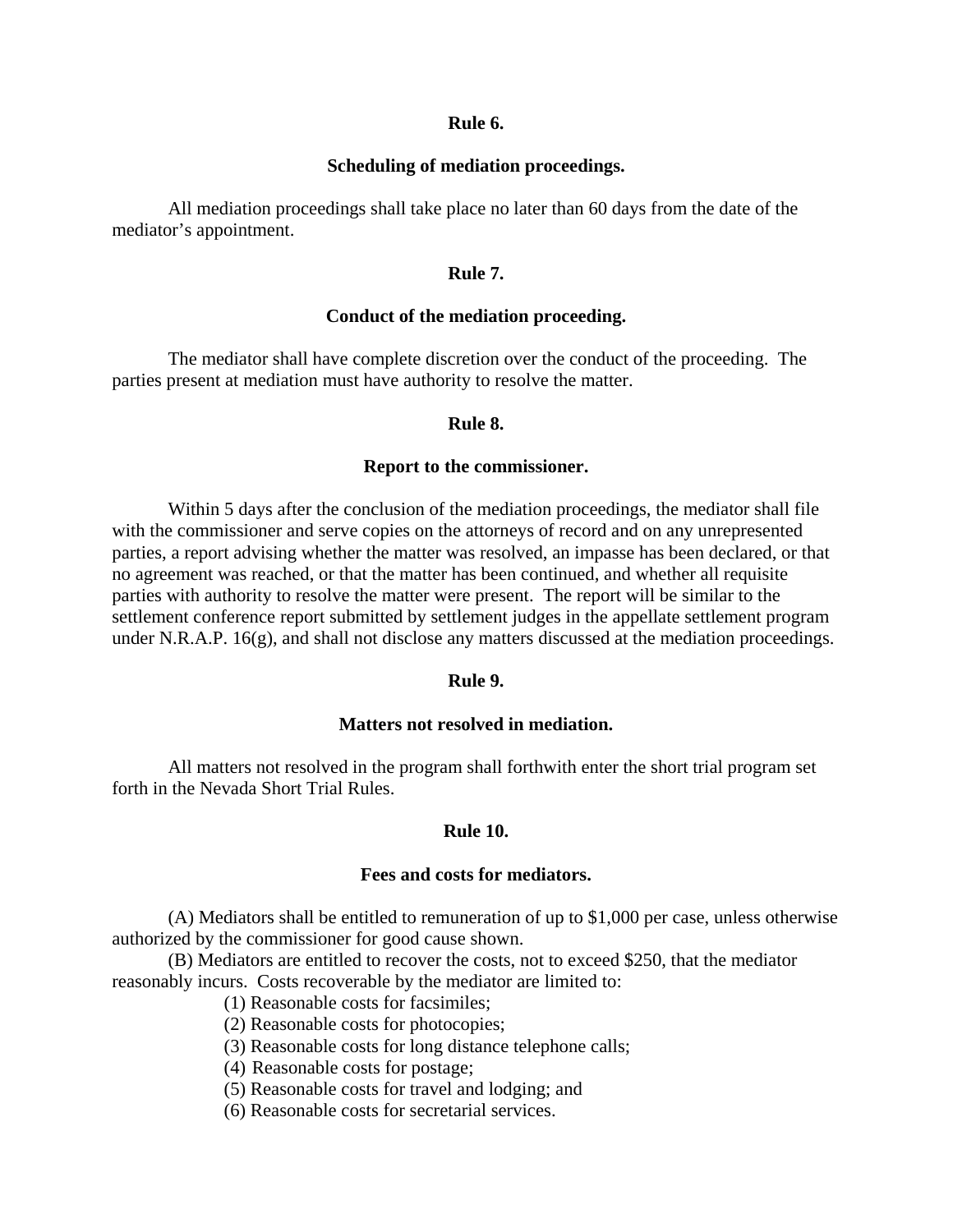## **Rule 6.**

## **Scheduling of mediation proceedings.**

 All mediation proceedings shall take place no later than 60 days from the date of the mediator's appointment.

# **Rule 7.**

# **Conduct of the mediation proceeding.**

 The mediator shall have complete discretion over the conduct of the proceeding. The parties present at mediation must have authority to resolve the matter.

#### **Rule 8.**

## **Report to the commissioner.**

 Within 5 days after the conclusion of the mediation proceedings, the mediator shall file with the commissioner and serve copies on the attorneys of record and on any unrepresented parties, a report advising whether the matter was resolved, an impasse has been declared, or that no agreement was reached, or that the matter has been continued, and whether all requisite parties with authority to resolve the matter were present. The report will be similar to the settlement conference report submitted by settlement judges in the appellate settlement program under N.R.A.P. 16(g), and shall not disclose any matters discussed at the mediation proceedings.

#### **Rule 9.**

# **Matters not resolved in mediation.**

 All matters not resolved in the program shall forthwith enter the short trial program set forth in the Nevada Short Trial Rules.

# **Rule 10.**

#### **Fees and costs for mediators.**

 (A) Mediators shall be entitled to remuneration of up to \$1,000 per case, unless otherwise authorized by the commissioner for good cause shown.

 (B) Mediators are entitled to recover the costs, not to exceed \$250, that the mediator reasonably incurs. Costs recoverable by the mediator are limited to:

- (1) Reasonable costs for facsimiles;
- (2) Reasonable costs for photocopies;
- (3) Reasonable costs for long distance telephone calls;
- (4) Reasonable costs for postage;
- (5) Reasonable costs for travel and lodging; and
- (6) Reasonable costs for secretarial services.